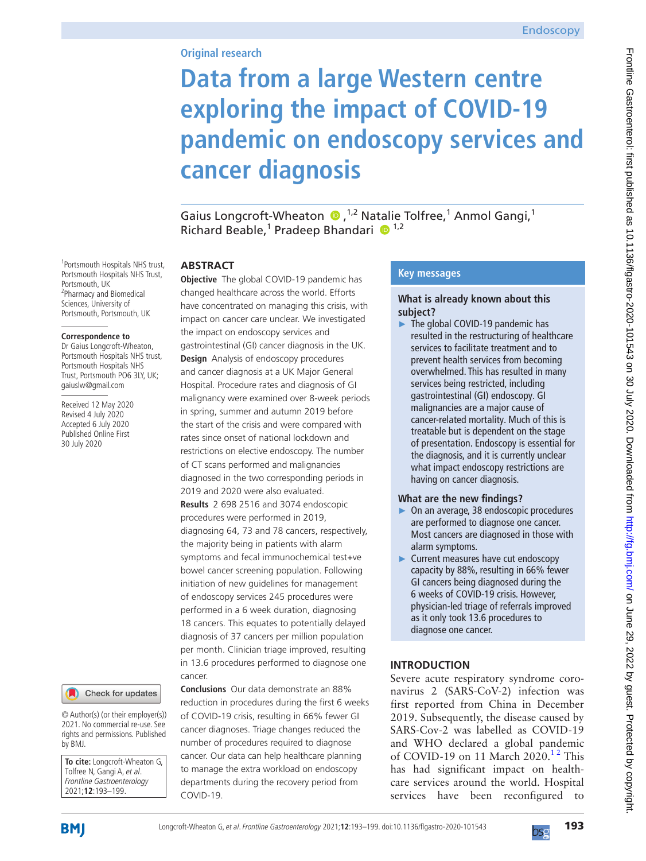# **Original research**

# **Data from a large Western centre exploring the impact of COVID-19 pandemic on endoscopy services and cancer diagnosis**

GaiusLongcroft-Wheaton (D, <sup>1,2</sup> Natalie Tolfree,<sup>1</sup> Anmol Gangi,<sup>1</sup> Richard Beable,<sup>1</sup> Pradeep Bhandari <sup>1,2</sup>

# **ABSTRACT**

**Objective** The global COVID-19 pandemic has changed healthcare across the world. Efforts have concentrated on managing this crisis, with impact on cancer care unclear. We investigated the impact on endoscopy services and gastrointestinal (GI) cancer diagnosis in the UK. **Design** Analysis of endoscopy procedures and cancer diagnosis at a UK Major General Hospital. Procedure rates and diagnosis of GI malignancy were examined over 8-week periods in spring, summer and autumn 2019 before the start of the crisis and were compared with rates since onset of national lockdown and restrictions on elective endoscopy. The number of CT scans performed and malignancies diagnosed in the two corresponding periods in 2019 and 2020 were also evaluated. **Results** 2 698 2516 and 3074 endoscopic procedures were performed in 2019, diagnosing 64, 73 and 78 cancers, respectively, the majority being in patients with alarm symptoms and fecal immunochemical test+ve bowel cancer screening population. Following initiation of new guidelines for management of endoscopy services 245 procedures were performed in a 6 week duration, diagnosing 18 cancers. This equates to potentially delayed diagnosis of 37 cancers per million population per month. Clinician triage improved, resulting in 13.6 procedures performed to diagnose one cancer.

**Conclusions** Our data demonstrate an 88% reduction in procedures during the first 6 weeks of COVID-19 crisis, resulting in 66% fewer GI cancer diagnoses. Triage changes reduced the number of procedures required to diagnose cancer. Our data can help healthcare planning to manage the extra workload on endoscopy departments during the recovery period from COVID-19.

# **Key messages**

# **What is already known about this subject?**

► The global COVID-19 pandemic has resulted in the restructuring of healthcare services to facilitate treatment and to prevent health services from becoming overwhelmed. This has resulted in many services being restricted, including gastrointestinal (GI) endoscopy. GI malignancies are a major cause of cancer-related mortality. Much of this is treatable but is dependent on the stage of presentation. Endoscopy is essential for the diagnosis, and it is currently unclear what impact endoscopy restrictions are having on cancer diagnosis.

Frontline Gastroenterol: first published as 10.1136/flgastro-2020-101543 on 30 July 2020. Downloaded from http://fg.bmj.com/ on June 29, 2022 by guest. Protected by copyright Frontline Gastroenterol: first published as 10.11136/flgastro-2020-101543 on 30 July 2020. Downloaded from http://tg.bmj.com/ on June 29, 2022 by guest. Protected by copyright.

#### **What are the new findings?**

- ► On an average, 38 endoscopic procedures are performed to diagnose one cancer. Most cancers are diagnosed in those with alarm symptoms.
- ► Current measures have cut endoscopy capacity by 88%, resulting in 66% fewer GI cancers being diagnosed during the 6 weeks of COVID-19 crisis. However, physician-led triage of referrals improved as it only took 13.6 procedures to diagnose one cancer.

# **INTRODUCTION**

Severe acute respiratory syndrome coronavirus 2 (SARS-CoV-2) infection was first reported from China in December 2019. Subsequently, the disease caused by SARS-Cov-2 was labelled as COVID-19 and WHO declared a global pandemic of COVID-19 on 11 March  $2020.<sup>12</sup>$  This has had significant impact on healthcare services around the world. Hospital services have been reconfigured to

1 Portsmouth Hospitals NHS trust, Portsmouth Hospitals NHS Trust, Portsmouth, UK <sup>2</sup>Pharmacy and Biomedical Sciences, University of Portsmouth, Portsmouth, UK

#### **Correspondence to**

Dr Gaius Longcroft-Wheaton, Portsmouth Hospitals NHS trust, Portsmouth Hospitals NHS Trust, Portsmouth PO6 3LY, UK; gaiuslw@gmail.com

Received 12 May 2020 Revised 4 July 2020 Accepted 6 July 2020 Published Online First 30 July 2020



© Author(s) (or their employer(s)) 2021. No commercial re-use. See rights and permissions. Published by BMJ.

**To cite:** Longcroft-Wheaton G, Tolfree N, Gangi A, et al. Frontline Gastroenterology 2021;**12**:193–199.



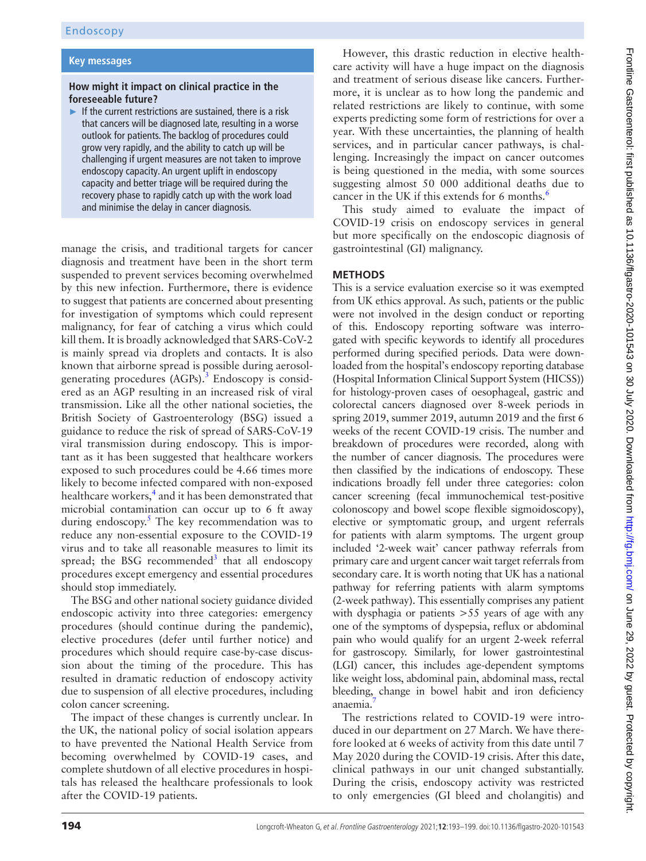# **Key messages**

# **How might it impact on clinical practice in the foreseeable future?**

 $\blacktriangleright$  If the current restrictions are sustained, there is a risk that cancers will be diagnosed late, resulting in a worse outlook for patients. The backlog of procedures could grow very rapidly, and the ability to catch up will be challenging if urgent measures are not taken to improve endoscopy capacity. An urgent uplift in endoscopy capacity and better triage will be required during the recovery phase to rapidly catch up with the work load and minimise the delay in cancer diagnosis.

manage the crisis, and traditional targets for cancer diagnosis and treatment have been in the short term suspended to prevent services becoming overwhelmed by this new infection. Furthermore, there is evidence to suggest that patients are concerned about presenting for investigation of symptoms which could represent malignancy, for fear of catching a virus which could kill them. It is broadly acknowledged that SARS-CoV-2 is mainly spread via droplets and contacts. It is also known that airborne spread is possible during aerosolgenerating procedures (AGPs).<sup>3</sup> Endoscopy is considered as an AGP resulting in an increased risk of viral transmission. Like all the other national societies, the British Society of Gastroenterology (BSG) issued a guidance to reduce the risk of spread of SARS-CoV-19 viral transmission during endoscopy. This is important as it has been suggested that healthcare workers exposed to such procedures could be 4.66 times more likely to become infected compared with non-exposed healthcare workers,<sup>4</sup> and it has been demonstrated that microbial contamination can occur up to 6 ft away during endoscopy.<sup>[5](#page-6-3)</sup> The key recommendation was to reduce any non-essential exposure to the COVID-19 virus and to take all reasonable measures to limit its spread; the BSG recommended<sup>[3](#page-6-1)</sup> that all endoscopy procedures except emergency and essential procedures should stop immediately.

The BSG and other national society guidance divided endoscopic activity into three categories: emergency procedures (should continue during the pandemic), elective procedures (defer until further notice) and procedures which should require case-by-case discussion about the timing of the procedure. This has resulted in dramatic reduction of endoscopy activity due to suspension of all elective procedures, including colon cancer screening.

The impact of these changes is currently unclear. In the UK, the national policy of social isolation appears to have prevented the National Health Service from becoming overwhelmed by COVID-19 cases, and complete shutdown of all elective procedures in hospitals has released the healthcare professionals to look after the COVID-19 patients.

However, this drastic reduction in elective healthcare activity will have a huge impact on the diagnosis and treatment of serious disease like cancers. Furthermore, it is unclear as to how long the pandemic and related restrictions are likely to continue, with some experts predicting some form of restrictions for over a year. With these uncertainties, the planning of health services, and in particular cancer pathways, is challenging. Increasingly the impact on cancer outcomes is being questioned in the media, with some sources suggesting almost 50 000 additional deaths due to cancer in the UK if this extends for 6 months. $<sup>6</sup>$ </sup>

This study aimed to evaluate the impact of COVID-19 crisis on endoscopy services in general but more specifically on the endoscopic diagnosis of gastrointestinal (GI) malignancy.

# **METHODS**

This is a service evaluation exercise so it was exempted from UK ethics approval. As such, patients or the public were not involved in the design conduct or reporting of this. Endoscopy reporting software was interrogated with specific keywords to identify all procedures performed during specified periods. Data were downloaded from the hospital's endoscopy reporting database (Hospital Information Clinical Support System (HICSS)) for histology-proven cases of oesophageal, gastric and colorectal cancers diagnosed over 8-week periods in spring 2019, summer 2019, autumn 2019 and the first 6 weeks of the recent COVID-19 crisis. The number and breakdown of procedures were recorded, along with the number of cancer diagnosis. The procedures were then classified by the indications of endoscopy. These indications broadly fell under three categories: colon cancer screening (fecal immunochemical test-positive colonoscopy and bowel scope flexible sigmoidoscopy), elective or symptomatic group, and urgent referrals for patients with alarm symptoms. The urgent group included '2-week wait' cancer pathway referrals from primary care and urgent cancer wait target referrals from secondary care. It is worth noting that UK has a national pathway for referring patients with alarm symptoms (2-week pathway). This essentially comprises any patient with dysphagia or patients  $> 55$  years of age with any one of the symptoms of dyspepsia, reflux or abdominal pain who would qualify for an urgent 2-week referral for gastroscopy. Similarly, for lower gastrointestinal (LGI) cancer, this includes age-dependent symptoms like weight loss, abdominal pain, abdominal mass, rectal bleeding, change in bowel habit and iron deficiency anaemia.[7](#page-6-5)

The restrictions related to COVID-19 were introduced in our department on 27 March. We have therefore looked at 6 weeks of activity from this date until 7 May 2020 during the COVID-19 crisis. After this date, clinical pathways in our unit changed substantially. During the crisis, endoscopy activity was restricted to only emergencies (GI bleed and cholangitis) and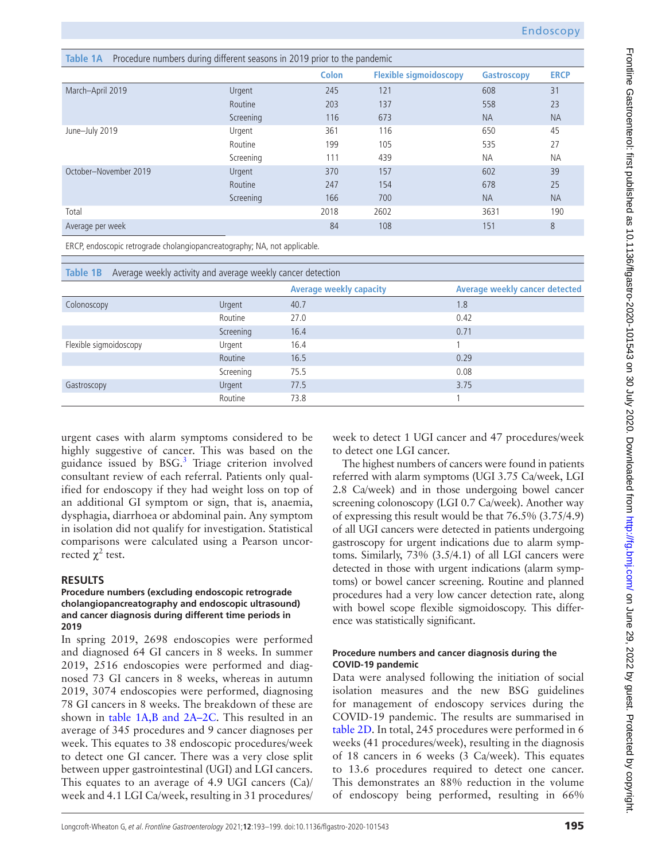<span id="page-2-0"></span>

| Procedure numbers during different seasons in 2019 prior to the pandemic<br>Table 1A |           |              |                               |                    |             |  |
|--------------------------------------------------------------------------------------|-----------|--------------|-------------------------------|--------------------|-------------|--|
|                                                                                      |           | <b>Colon</b> | <b>Flexible sigmoidoscopy</b> | <b>Gastroscopy</b> | <b>ERCP</b> |  |
| March-April 2019                                                                     | Urgent    | 245          | 121                           | 608                | 31          |  |
|                                                                                      | Routine   | 203          | 137                           | 558                | 23          |  |
|                                                                                      | Screening | 116          | 673                           | <b>NA</b>          | <b>NA</b>   |  |
| June-July 2019                                                                       | Urgent    | 361          | 116                           | 650                | 45          |  |
|                                                                                      | Routine   | 199          | 105                           | 535                | 27          |  |
|                                                                                      | Screening | 111          | 439                           | <b>NA</b>          | <b>NA</b>   |  |
| October-November 2019                                                                | Urgent    | 370          | 157                           | 602                | 39          |  |
|                                                                                      | Routine   | 247          | 154                           | 678                | 25          |  |
|                                                                                      | Screening | 166          | 700                           | <b>NA</b>          | <b>NA</b>   |  |
| Total                                                                                |           | 2018         | 2602                          | 3631               | 190         |  |
| Average per week                                                                     |           | 84           | 108                           | 151                | 8           |  |

ERCP, endoscopic retrograde cholangiopancreatography; NA, not applicable.

| Table 1B<br>Average weekly activity and average weekly cancer detection |           |                                |                                       |  |  |
|-------------------------------------------------------------------------|-----------|--------------------------------|---------------------------------------|--|--|
|                                                                         |           | <b>Average weekly capacity</b> | <b>Average weekly cancer detected</b> |  |  |
| Colonoscopy                                                             | Urgent    | 40.7                           | 1.8                                   |  |  |
|                                                                         | Routine   | 27.0                           | 0.42                                  |  |  |
|                                                                         | Screening | 16.4                           | 0.71                                  |  |  |
| Flexible sigmoidoscopy                                                  | Urgent    | 16.4                           |                                       |  |  |
|                                                                         | Routine   | 16.5                           | 0.29                                  |  |  |
|                                                                         | Screening | 75.5                           | 0.08                                  |  |  |
| Gastroscopy                                                             | Urgent    | 77.5                           | 3.75                                  |  |  |
|                                                                         | Routine   | 73.8                           |                                       |  |  |

urgent cases with alarm symptoms considered to be highly suggestive of cancer. This was based on the guidance issued by BSG.<sup>[3](#page-6-1)</sup> Triage criterion involved consultant review of each referral. Patients only qualified for endoscopy if they had weight loss on top of an additional GI symptom or sign, that is, anaemia, dysphagia, diarrhoea or abdominal pain. Any symptom in isolation did not qualify for investigation. Statistical comparisons were calculated using a Pearson uncorrected  $\chi^2$  test.

# **RESULTS**

#### **Procedure numbers (excluding endoscopic retrograde cholangiopancreatography and endoscopic ultrasound) and cancer diagnosis during different time periods in 2019**

In spring 2019, 2698 endoscopies were performed and diagnosed 64 GI cancers in 8 weeks. In summer 2019, 2516 endoscopies were performed and diagnosed 73 GI cancers in 8 weeks, whereas in autumn 2019, 3074 endoscopies were performed, diagnosing 78 GI cancers in 8 weeks. The breakdown of these are shown in table [1A,B and 2A–2C](#page-2-0). This resulted in an average of 345 procedures and 9 cancer diagnoses per week. This equates to 38 endoscopic procedures/week to detect one GI cancer. There was a very close split between upper gastrointestinal (UGI) and LGI cancers. This equates to an average of 4.9 UGI cancers (Ca)/ week and 4.1 LGI Ca/week, resulting in 31 procedures/

week to detect 1 UGI cancer and 47 procedures/week to detect one LGI cancer.

The highest numbers of cancers were found in patients referred with alarm symptoms (UGI 3.75 Ca/week, LGI 2.8 Ca/week) and in those undergoing bowel cancer screening colonoscopy (LGI 0.7 Ca/week). Another way of expressing this result would be that 76.5% (3.75/4.9) of all UGI cancers were detected in patients undergoing gastroscopy for urgent indications due to alarm symptoms. Similarly, 73% (3.5/4.1) of all LGI cancers were detected in those with urgent indications (alarm symptoms) or bowel cancer screening. Routine and planned procedures had a very low cancer detection rate, along with bowel scope flexible sigmoidoscopy. This difference was statistically significant.

#### **Procedure numbers and cancer diagnosis during the COVID-19 pandemic**

Data were analysed following the initiation of social isolation measures and the new BSG guidelines for management of endoscopy services during the COVID-19 pandemic. The results are summarised in [table](#page-3-0) 2D. In total, 245 procedures were performed in 6 weeks (41 procedures/week), resulting in the diagnosis of 18 cancers in 6 weeks (3 Ca/week). This equates to 13.6 procedures required to detect one cancer. This demonstrates an 88% reduction in the volume of endoscopy being performed, resulting in 66% Frontline Gastroenterol: first published as 10.11136/flgastro-2020-101543 on 30 July 2020. Downloaded from http://fg.bmj.com/ on June 29, 2022 by guest. Protected by copyright Frontline Gastroenterol: first published as 10.11136/flgastro-2020-101543 on 30 July 2020. Downloaded from http://tg.bmj.com/ on June 29, 2022 by guest. Protected by copyright.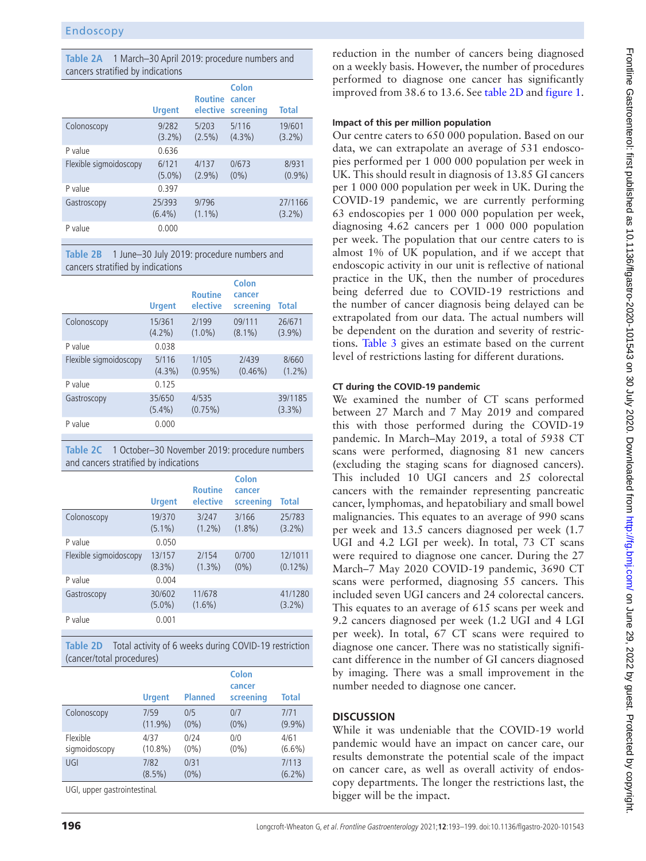<span id="page-3-0"></span>

| Table 2A 1 March-30 April 2019: procedure numbers and |
|-------------------------------------------------------|
| cancers stratified by indications                     |

|                        | <b>Urgent</b>       | <b>Routine</b>     | Colon<br>cancer<br>elective screening | <b>Total</b>         |
|------------------------|---------------------|--------------------|---------------------------------------|----------------------|
| Colonoscopy            | 9/282<br>$(3.2\%)$  | 5/203<br>$(2.5\%)$ | 5/116<br>$(4.3\%)$                    | 19/601<br>$(3.2\%)$  |
| P value                | 0.636               |                    |                                       |                      |
| Flexible sigmoidoscopy | 6/121<br>$(5.0\%)$  | 4/137<br>$(2.9\%)$ | 0/673<br>$(0\%)$                      | 8/931<br>$(0.9\%)$   |
| P value                | 0.397               |                    |                                       |                      |
| Gastroscopy            | 25/393<br>$(6.4\%)$ | 9/796<br>$(1.1\%)$ |                                       | 27/1166<br>$(3.2\%)$ |
| P value                | 0.000               |                    |                                       |                      |

| Table 2B 1 June-30 July 2019: procedure numbers and |
|-----------------------------------------------------|
| cancers stratified by indications                   |

|                        | <b>Urgent</b>       | <b>Routine</b><br>elective | Colon<br>cancer<br>screening | <b>Total</b>         |
|------------------------|---------------------|----------------------------|------------------------------|----------------------|
| Colonoscopy            | 15/361<br>$(4.2\%)$ | 2/199<br>$(1.0\%)$         | 09/111<br>$(8.1\%)$          | 26/671<br>$(3.9\%)$  |
| P value                | 0.038               |                            |                              |                      |
| Flexible sigmoidoscopy | 5/116<br>$(4.3\%)$  | 1/105<br>$(0.95\%)$        | 2/439<br>$(0.46\%)$          | 8/660<br>$(1.2\%)$   |
| P value                | 0.125               |                            |                              |                      |
| Gastroscopy            | 35/650<br>$(5.4\%)$ | 4/535<br>$(0.75\%)$        |                              | 39/1185<br>$(3.3\%)$ |
| P value                | 0.000               |                            |                              |                      |

**Table 2C** 1 October–30 November 2019: procedure numbers and cancers stratified by indications

|                        | <b>Urgent</b>       | <b>Routine</b><br>elective | Colon<br>cancer<br>screening | <b>Total</b>          |
|------------------------|---------------------|----------------------------|------------------------------|-----------------------|
| Colonoscopy            | 19/370<br>$(5.1\%)$ | 3/247<br>$(1.2\%)$         | 3/166<br>$(1.8\%)$           | 25/783<br>$(3.2\%)$   |
| P value                | 0.050               |                            |                              |                       |
| Flexible sigmoidoscopy | 13/157<br>$(8.3\%)$ | 2/154<br>$(1.3\%)$         | 0/700<br>$(0\%)$             | 12/1011<br>$(0.12\%)$ |
| P value                | 0.004               |                            |                              |                       |
| Gastroscopy            | 30/602<br>$(5.0\%)$ | 11/678<br>$(1.6\%)$        |                              | 41/1280<br>$(3.2\%)$  |
| P value                | 0.001               |                            |                              |                       |

**Table 2D** Total activity of 6 weeks during COVID-19 restriction (cancer/total procedures)

|                           | <b>Urgent</b>      | <b>Planned</b>  | Colon<br>cancer<br>screening | <b>Total</b>       |
|---------------------------|--------------------|-----------------|------------------------------|--------------------|
| Colonoscopy               | 7/59<br>$(11.9\%)$ | 0/5<br>$(0\%)$  | 0/7<br>$(0\%)$               | 7/71<br>$(9.9\%)$  |
| Flexible<br>sigmoidoscopy | 4/37<br>$(10.8\%)$ | 0/24<br>$(0\%)$ | 0/0<br>$(0\%)$               | 4/61<br>$(6.6\%)$  |
| UGI                       | 7/82<br>$(8.5\%)$  | 0/31<br>$(0\%)$ |                              | 7/113<br>$(6.2\%)$ |
|                           |                    |                 |                              |                    |

UGI, upper gastrointestinal.

reduction in the number of cancers being diagnosed on a weekly basis. However, the number of procedures performed to diagnose one cancer has significantly improved from 38.6 to 13.6. See [table](#page-3-0) 2D and [figure](#page-4-0) 1.

# **Impact of this per million population**

Our centre caters to 650 000 population. Based on our data, we can extrapolate an average of 531 endoscopies performed per 1 000 000 population per week in UK. This should result in diagnosis of 13.85 GI cancers per 1 000 000 population per week in UK. During the COVID-19 pandemic, we are currently performing 63 endoscopies per 1 000 000 population per week, diagnosing 4.62 cancers per 1 000 000 population per week. The population that our centre caters to is almost 1% of UK population, and if we accept that endoscopic activity in our unit is reflective of national practice in the UK, then the number of procedures being deferred due to COVID-19 restrictions and the number of cancer diagnosis being delayed can be extrapolated from our data. The actual numbers will be dependent on the duration and severity of restrictions. [Table](#page-4-1) 3 gives an estimate based on the current level of restrictions lasting for different durations.

# **CT during the COVID-19 pandemic**

We examined the number of CT scans performed between 27 March and 7 May 2019 and compared this with those performed during the COVID-19 pandemic. In March–May 2019, a total of 5938 CT scans were performed, diagnosing 81 new cancers (excluding the staging scans for diagnosed cancers). This included 10 UGI cancers and 25 colorectal cancers with the remainder representing pancreatic cancer, lymphomas, and hepatobiliary and small bowel malignancies. This equates to an average of 990 scans per week and 13.5 cancers diagnosed per week (1.7 UGI and 4.2 LGI per week). In total, 73 CT scans were required to diagnose one cancer. During the 27 March–7 May 2020 COVID-19 pandemic, 3690 CT scans were performed, diagnosing 55 cancers. This included seven UGI cancers and 24 colorectal cancers. This equates to an average of 615 scans per week and 9.2 cancers diagnosed per week (1.2 UGI and 4 LGI per week). In total, 67 CT scans were required to diagnose one cancer. There was no statistically significant difference in the number of GI cancers diagnosed by imaging. There was a small improvement in the number needed to diagnose one cancer.

# **DISCUSSION**

While it was undeniable that the COVID-19 world pandemic would have an impact on cancer care, our results demonstrate the potential scale of the impact on cancer care, as well as overall activity of endoscopy departments. The longer the restrictions last, the bigger will be the impact.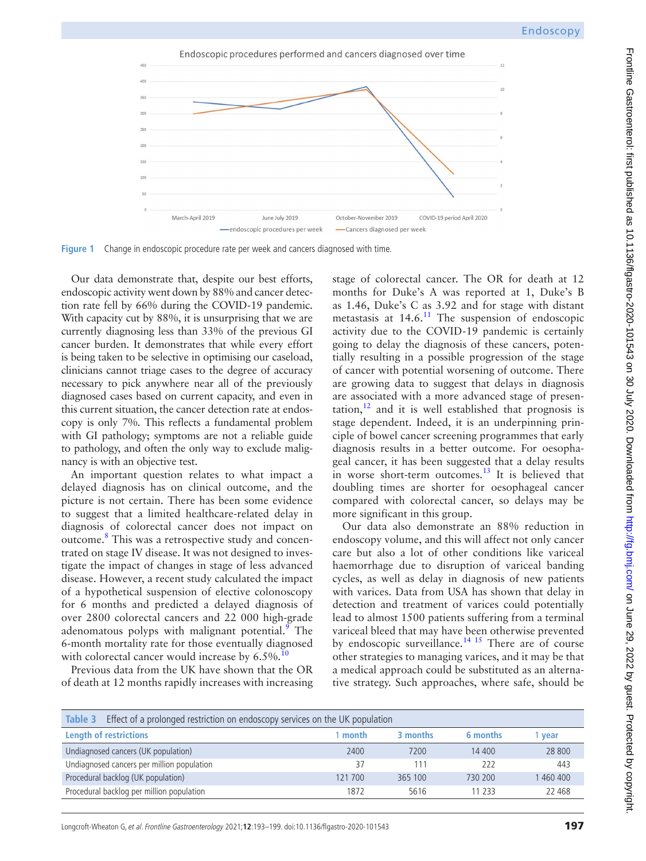

**Figure 1** Change in endoscopic procedure rate per week and cancers diagnosed with time.

Our data demonstrate that, despite our best efforts, endoscopic activity went down by 88% and cancer detection rate fell by 66% during the COVID-19 pandemic. With capacity cut by 88%, it is unsurprising that we are currently diagnosing less than 33% of the previous GI cancer burden. It demonstrates that while every effort is being taken to be selective in optimising our caseload, clinicians cannot triage cases to the degree of accuracy necessary to pick anywhere near all of the previously diagnosed cases based on current capacity, and even in this current situation, the cancer detection rate at endoscopy is only 7%. This reflects a fundamental problem with GI pathology; symptoms are not a reliable guide to pathology, and often the only way to exclude malignancy is with an objective test.

An important question relates to what impact a delayed diagnosis has on clinical outcome, and the picture is not certain. There has been some evidence to suggest that a limited healthcare-related delay in diagnosis of colorectal cancer does not impact on outcome.<sup>[8](#page-6-6)</sup> This was a retrospective study and concentrated on stage IV disease. It was not designed to investigate the impact of changes in stage of less advanced disease. However, a recent study calculated the impact of a hypothetical suspension of elective colonoscopy for 6 months and predicted a delayed diagnosis of over 2800 colorectal cancers and 22 000 high-grade adenomatous polyps with malignant potential.<sup>[9](#page-6-7)</sup> The 6-month mortality rate for those eventually diagnosed with colorectal cancer would increase by  $6.5\%$ .<sup>1</sup>

Previous data from the UK have shown that the OR of death at 12 months rapidly increases with increasing

<span id="page-4-0"></span>stage of colorectal cancer. The OR for death at 12 months for Duke's A was reported at 1, Duke's B as 1.46, Duke's C as 3.92 and for stage with distant metastasis at  $14.6$ <sup>11</sup>. The suspension of endoscopic activity due to the COVID-19 pandemic is certainly going to delay the diagnosis of these cancers, potentially resulting in a possible progression of the stage of cancer with potential worsening of outcome. There are growing data to suggest that delays in diagnosis are associated with a more advanced stage of presentation, $12$  and it is well established that prognosis is stage dependent. Indeed, it is an underpinning principle of bowel cancer screening programmes that early diagnosis results in a better outcome. For oesophageal cancer, it has been suggested that a delay results in worse short-term outcomes. $^{13}$  It is believed that doubling times are shorter for oesophageal cancer compared with colorectal cancer, so delays may be more significant in this group.

Our data also demonstrate an 88% reduction in endoscopy volume, and this will affect not only cancer care but also a lot of other conditions like variceal haemorrhage due to disruption of variceal banding cycles, as well as delay in diagnosis of new patients with varices. Data from USA has shown that delay in detection and treatment of varices could potentially lead to almost 1500 patients suffering from a terminal variceal bleed that may have been otherwise prevented by endoscopic surveillance.<sup>14 15</sup> There are of course other strategies to managing varices, and it may be that a medical approach could be substituted as an alternative strategy. Such approaches, where safe, should be

<span id="page-4-1"></span>

| Effect of a prolonged restriction on endoscopy services on the UK population<br>Table 3 |         |          |          |          |  |
|-----------------------------------------------------------------------------------------|---------|----------|----------|----------|--|
| <b>Length of restrictions</b>                                                           | month   | 3 months | 6 months | vear     |  |
| Undiagnosed cancers (UK population)                                                     | 2400    | 7200     | 14 400   | 28 800   |  |
| Undiagnosed cancers per million population                                              | 37      | 111      | 222      | 443      |  |
| Procedural backlog (UK population)                                                      | 121 700 | 365 100  | 730 200  | 460 400  |  |
| Procedural backlog per million population                                               | 1872    | 5616     | 11 233   | 22 4 6 8 |  |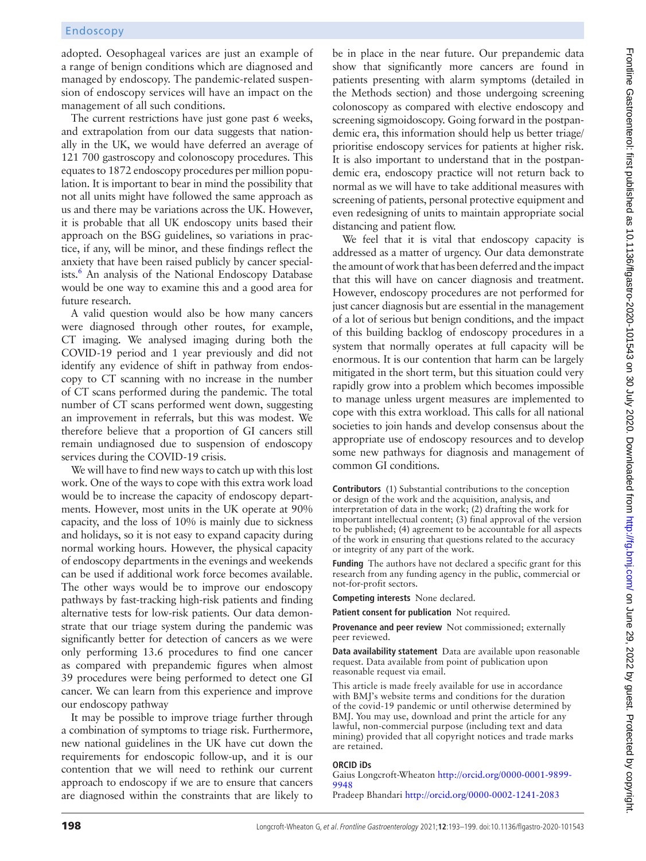# Endoscopy

adopted. Oesophageal varices are just an example of a range of benign conditions which are diagnosed and managed by endoscopy. The pandemic-related suspension of endoscopy services will have an impact on the management of all such conditions.

The current restrictions have just gone past 6 weeks, and extrapolation from our data suggests that nationally in the UK, we would have deferred an average of 121 700 gastroscopy and colonoscopy procedures. This equates to 1872 endoscopy procedures per million population. It is important to bear in mind the possibility that not all units might have followed the same approach as us and there may be variations across the UK. However, it is probable that all UK endoscopy units based their approach on the BSG guidelines, so variations in practice, if any, will be minor, and these findings reflect the anxiety that have been raised publicly by cancer specialists.<sup>6</sup> An analysis of the National Endoscopy Database would be one way to examine this and a good area for future research.

A valid question would also be how many cancers were diagnosed through other routes, for example, CT imaging. We analysed imaging during both the COVID-19 period and 1 year previously and did not identify any evidence of shift in pathway from endoscopy to CT scanning with no increase in the number of CT scans performed during the pandemic. The total number of CT scans performed went down, suggesting an improvement in referrals, but this was modest. We therefore believe that a proportion of GI cancers still remain undiagnosed due to suspension of endoscopy services during the COVID-19 crisis.

We will have to find new ways to catch up with this lost work. One of the ways to cope with this extra work load would be to increase the capacity of endoscopy departments. However, most units in the UK operate at 90% capacity, and the loss of 10% is mainly due to sickness and holidays, so it is not easy to expand capacity during normal working hours. However, the physical capacity of endoscopy departments in the evenings and weekends can be used if additional work force becomes available. The other ways would be to improve our endoscopy pathways by fast-tracking high-risk patients and finding alternative tests for low-risk patients. Our data demonstrate that our triage system during the pandemic was significantly better for detection of cancers as we were only performing 13.6 procedures to find one cancer as compared with prepandemic figures when almost 39 procedures were being performed to detect one GI cancer. We can learn from this experience and improve our endoscopy pathway

It may be possible to improve triage further through a combination of symptoms to triage risk. Furthermore, new national guidelines in the UK have cut down the requirements for endoscopic follow-up, and it is our contention that we will need to rethink our current approach to endoscopy if we are to ensure that cancers are diagnosed within the constraints that are likely to

be in place in the near future. Our prepandemic data show that significantly more cancers are found in patients presenting with alarm symptoms (detailed in the Methods section) and those undergoing screening colonoscopy as compared with elective endoscopy and screening sigmoidoscopy. Going forward in the postpandemic era, this information should help us better triage/ prioritise endoscopy services for patients at higher risk. It is also important to understand that in the postpandemic era, endoscopy practice will not return back to normal as we will have to take additional measures with screening of patients, personal protective equipment and even redesigning of units to maintain appropriate social distancing and patient flow.

We feel that it is vital that endoscopy capacity is addressed as a matter of urgency. Our data demonstrate the amount of work that has been deferred and the impact that this will have on cancer diagnosis and treatment. However, endoscopy procedures are not performed for just cancer diagnosis but are essential in the management of a lot of serious but benign conditions, and the impact of this building backlog of endoscopy procedures in a system that normally operates at full capacity will be enormous. It is our contention that harm can be largely mitigated in the short term, but this situation could very rapidly grow into a problem which becomes impossible to manage unless urgent measures are implemented to cope with this extra workload. This calls for all national societies to join hands and develop consensus about the appropriate use of endoscopy resources and to develop some new pathways for diagnosis and management of common GI conditions.

**Contributors** (1) Substantial contributions to the conception or design of the work and the acquisition, analysis, and interpretation of data in the work; (2) drafting the work for important intellectual content; (3) final approval of the version to be published; (4) agreement to be accountable for all aspects of the work in ensuring that questions related to the accuracy or integrity of any part of the work.

**Funding** The authors have not declared a specific grant for this research from any funding agency in the public, commercial or not-for-profit sectors.

**Competing interests** None declared.

**Patient consent for publication** Not required.

**Provenance and peer review** Not commissioned; externally peer reviewed.

**Data availability statement** Data are available upon reasonable request. Data available from point of publication upon reasonable request via email.

This article is made freely available for use in accordance with BMJ's website terms and conditions for the duration of the covid-19 pandemic or until otherwise determined by BMJ. You may use, download and print the article for any lawful, non-commercial purpose (including text and data mining) provided that all copyright notices and trade marks are retained.

#### **ORCID iDs**

Gaius Longcroft-Wheaton [http://orcid.org/0000-0001-9899-](http://orcid.org/0000-0001-9899-9948) [9948](http://orcid.org/0000-0001-9899-9948)

Pradeep Bhandari <http://orcid.org/0000-0002-1241-2083>